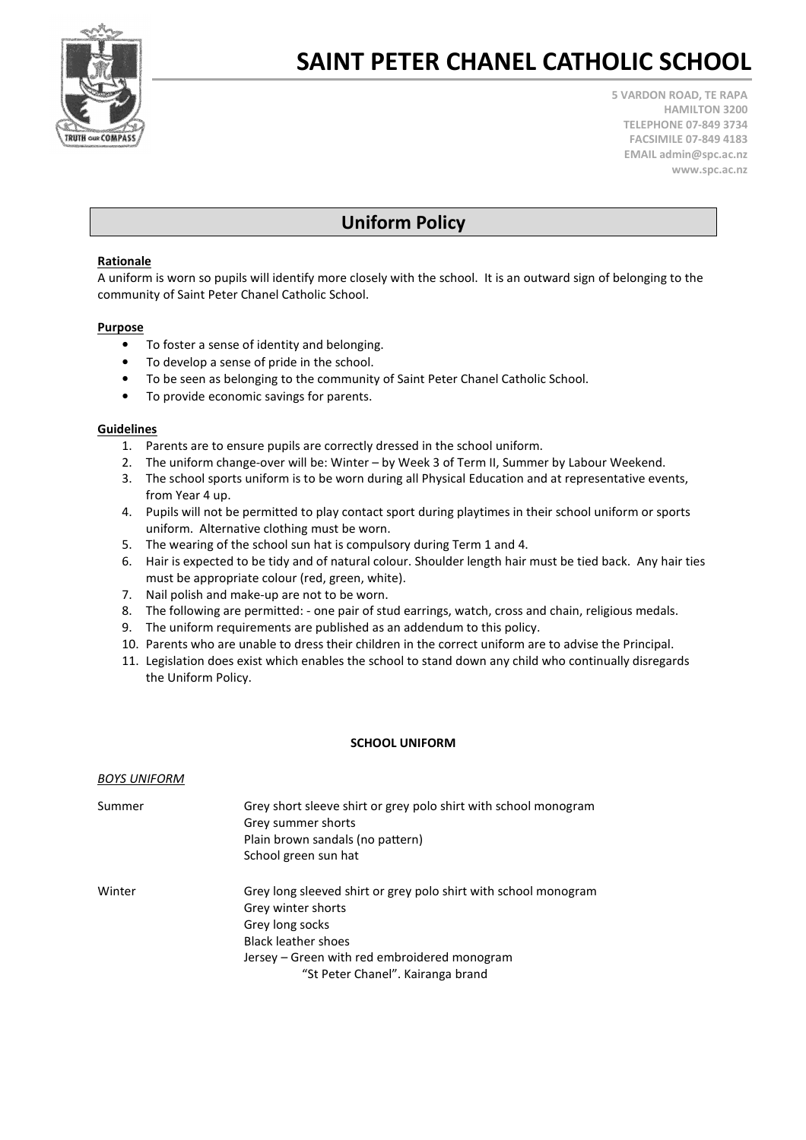

# SAINT PETER CHANEL CATHOLIC SCHOOL

5 VARDON ROAD, TE RAPA HAMILTON 3200 TELEPHONE 07-849 3734 FACSIMILE 07-849 4183 EMAIL admin@spc.ac.nz www.spc.ac.nz

# Uniform Policy

## Rationale

A uniform is worn so pupils will identify more closely with the school. It is an outward sign of belonging to the community of Saint Peter Chanel Catholic School.

### Purpose

- To foster a sense of identity and belonging.
- To develop a sense of pride in the school.
- To be seen as belonging to the community of Saint Peter Chanel Catholic School.
- To provide economic savings for parents.

### Guidelines

- 1. Parents are to ensure pupils are correctly dressed in the school uniform.
- 2. The uniform change-over will be: Winter by Week 3 of Term II, Summer by Labour Weekend.
- 3. The school sports uniform is to be worn during all Physical Education and at representative events, from Year 4 up.
- 4. Pupils will not be permitted to play contact sport during playtimes in their school uniform or sports uniform. Alternative clothing must be worn.
- 5. The wearing of the school sun hat is compulsory during Term 1 and 4.
- 6. Hair is expected to be tidy and of natural colour. Shoulder length hair must be tied back. Any hair ties must be appropriate colour (red, green, white).
- 7. Nail polish and make-up are not to be worn.
- 8. The following are permitted: one pair of stud earrings, watch, cross and chain, religious medals.
- 9. The uniform requirements are published as an addendum to this policy.
- 10. Parents who are unable to dress their children in the correct uniform are to advise the Principal.
- 11. Legislation does exist which enables the school to stand down any child who continually disregards the Uniform Policy.

#### SCHOOL UNIFORM

#### BOYS UNIFORM

| Summer | Grey short sleeve shirt or grey polo shirt with school monogram<br>Grey summer shorts<br>Plain brown sandals (no pattern)<br>School green sun hat |
|--------|---------------------------------------------------------------------------------------------------------------------------------------------------|
| Winter | Grey long sleeved shirt or grey polo shirt with school monogram<br>Grey winter shorts                                                             |
|        | Grey long socks                                                                                                                                   |
|        | <b>Black leather shoes</b>                                                                                                                        |
|        | Jersey - Green with red embroidered monogram                                                                                                      |
|        | "St Peter Chanel". Kairanga brand                                                                                                                 |